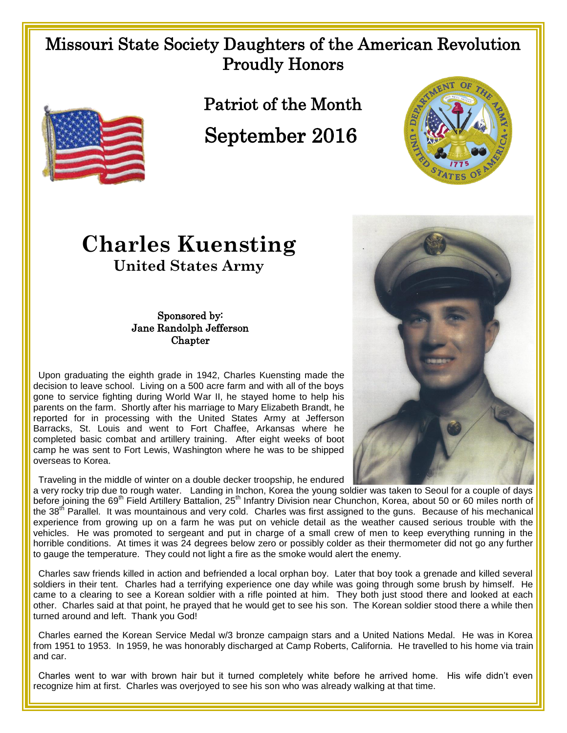## Missouri State Society Daughters of the American Revolution Proudly Honors



Patriot of the Month

September 2016



## **Charles Kuensting United States Army**

## Sponsored by: Jane Randolph Jefferson **Chapter**

 Upon graduating the eighth grade in 1942, Charles Kuensting made the decision to leave school. Living on a 500 acre farm and with all of the boys gone to service fighting during World War II, he stayed home to help his parents on the farm. Shortly after his marriage to Mary Elizabeth Brandt, he reported for in processing with the United States Army at Jefferson Barracks, St. Louis and went to Fort Chaffee, Arkansas where he completed basic combat and artillery training. After eight weeks of boot camp he was sent to Fort Lewis, Washington where he was to be shipped overseas to Korea.

Traveling in the middle of winter on a double decker troopship, he endured

a very rocky trip due to rough water. Landing in Inchon, Korea the young soldier was taken to Seoul for a couple of days before joining the 69<sup>th</sup> Field Artillery Battalion, 25<sup>th</sup> Infantry Division near Chunchon, Korea, about 50 or 60 miles north of the 38<sup>th</sup> Parallel. It was mountainous and very cold. Charles was first assigned to the guns. Because of his mechanical experience from growing up on a farm he was put on vehicle detail as the weather caused serious trouble with the vehicles. He was promoted to sergeant and put in charge of a small crew of men to keep everything running in the horrible conditions. At times it was 24 degrees below zero or possibly colder as their thermometer did not go any further to gauge the temperature. They could not light a fire as the smoke would alert the enemy.

 Charles saw friends killed in action and befriended a local orphan boy. Later that boy took a grenade and killed several soldiers in their tent. Charles had a terrifying experience one day while was going through some brush by himself. He came to a clearing to see a Korean soldier with a rifle pointed at him. They both just stood there and looked at each other. Charles said at that point, he prayed that he would get to see his son. The Korean soldier stood there a while then turned around and left. Thank you God!

 Charles earned the Korean Service Medal w/3 bronze campaign stars and a United Nations Medal. He was in Korea from 1951 to 1953. In 1959, he was honorably discharged at Camp Roberts, California. He travelled to his home via train and car.

 Charles went to war with brown hair but it turned completely white before he arrived home. His wife didn't even recognize him at first. Charles was overjoyed to see his son who was already walking at that time.